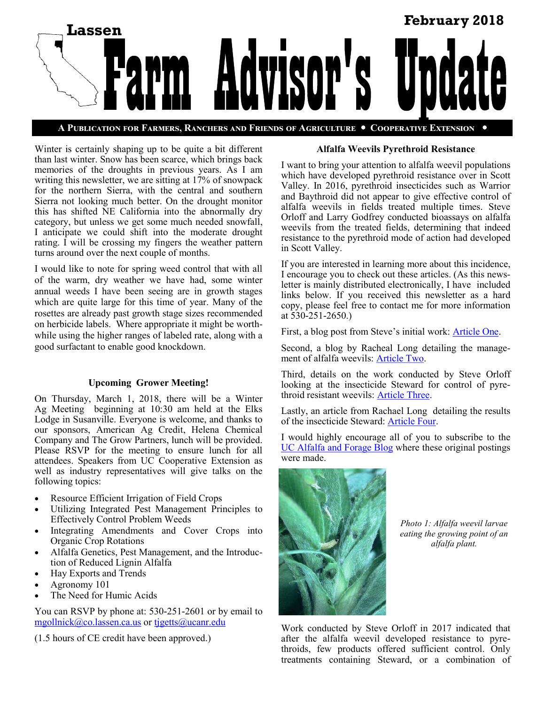

Winter is certainly shaping up to be quite a bit different than last winter. Snow has been scarce, which brings back memories of the droughts in previous years. As I am writing this newsletter, we are sitting at 17% of snowpack for the northern Sierra, with the central and southern Sierra not looking much better. On the drought monitor this has shifted NE California into the abnormally dry category, but unless we get some much needed snowfall, I anticipate we could shift into the moderate drought rating. I will be crossing my fingers the weather pattern turns around over the next couple of months.

I would like to note for spring weed control that with all of the warm, dry weather we have had, some winter annual weeds I have been seeing are in growth stages which are quite large for this time of year. Many of the rosettes are already past growth stage sizes recommended on herbicide labels. Where appropriate it might be worthwhile using the higher ranges of labeled rate, along with a good surfactant to enable good knockdown.

## **Upcoming Grower Meeting!**

On Thursday, March 1, 2018, there will be a Winter Ag Meeting beginning at 10:30 am held at the Elks Lodge in Susanville. Everyone is welcome, and thanks to our sponsors, American Ag Credit, Helena Chemical Company and The Grow Partners, lunch will be provided. Please RSVP for the meeting to ensure lunch for all attendees. Speakers from UC Cooperative Extension as well as industry representatives will give talks on the following topics:

- Resource Efficient Irrigation of Field Crops
- Utilizing Integrated Pest Management Principles to Effectively Control Problem Weeds
- Integrating Amendments and Cover Crops into Organic Crop Rotations
- Alfalfa Genetics, Pest Management, and the Introduction of Reduced Lignin Alfalfa
- Hay Exports and Trends
- Agronomy 101
- The Need for Humic Acids

You can RSVP by phone at: 530-251-2601 or by email to [mgollnick@co.lassen.ca.us](mailto:mgollnick@co.lassen.ca.us) or [tjgetts@ucanr.edu](mailto:tjgetts@ucanr.edu)

(1.5 hours of CE credit have been approved.)

# **Alfalfa Weevils Pyrethroid Resistance**

I want to bring your attention to alfalfa weevil populations which have developed pyrethroid resistance over in Scott Valley. In 2016, pyrethroid insecticides such as Warrior and Baythroid did not appear to give effective control of alfalfa weevils in fields treated multiple times. Steve Orloff and Larry Godfrey conducted bioassays on alfalfa weevils from the treated fields, determining that indeed resistance to the pyrethroid mode of action had developed in Scott Valley.

If you are interested in learning more about this incidence, I encourage you to check out these articles. (As this newsletter is mainly distributed electronically, I have included links below. If you received this newsletter as a hard copy, please feel free to contact me for more information at 530-251-2650.)

First, a blog post from Steve's initial work: [Article One.](http://ucanr.edu/blogs/blogcore/postdetail.cfm?postnum=21022)

Second, a blog by Racheal Long detailing the management of alfalfa weevils: [Article Two.](http://ucanr.edu/blogs/blogcore/postdetail.cfm?postnum=26262)

Third, details on the work conducted by Steve Orloff looking at the insecticide Steward for control of pyrethroid resistant weevils: [Article Three.](http://ucanr.edu/blogs/blogcore/postdetail.cfm?postnum=26301) 

Lastly, an article from Rachael Long detailing the results of the insecticide Steward: [Article Four.](http://alfalfa.ucdavis.edu/+symposium/2017/PDFfiles/Long%20Rachael.pdf)

I would highly encourage all of you to subscribe to the [UC Alfalfa and Forage Blog](http://ucanr.edu/blogs/alfalfa/index.cfm) where these original postings were made.



*Photo 1: Alfalfa weevil larvae eating the growing point of an alfalfa plant.*

Work conducted by Steve Orloff in 2017 indicated that after the alfalfa weevil developed resistance to pyrethroids, few products offered sufficient control. Only treatments containing Steward, or a combination of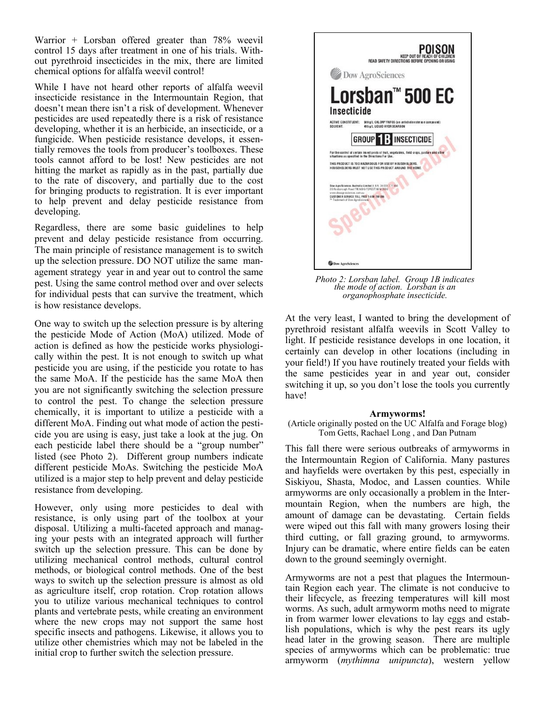Warrior + Lorsban offered greater than 78% weevil control 15 days after treatment in one of his trials. Without pyrethroid insecticides in the mix, there are limited chemical options for alfalfa weevil control!

While I have not heard other reports of alfalfa weevil insecticide resistance in the Intermountain Region, that doesn't mean there isn't a risk of development. Whenever pesticides are used repeatedly there is a risk of resistance developing, whether it is an herbicide, an insecticide, or a fungicide. When pesticide resistance develops, it essentially removes the tools from producer's toolboxes. These tools cannot afford to be lost! New pesticides are not hitting the market as rapidly as in the past, partially due to the rate of discovery, and partially due to the cost for bringing products to registration. It is ever important to help prevent and delay pesticide resistance from developing.

Regardless, there are some basic guidelines to help prevent and delay pesticide resistance from occurring. The main principle of resistance management is to switch up the selection pressure. DO NOT utilize the same management strategy year in and year out to control the same pest. Using the same control method over and over selects for individual pests that can survive the treatment, which is how resistance develops.

One way to switch up the selection pressure is by altering the pesticide Mode of Action (MoA) utilized. Mode of action is defined as how the pesticide works physiologically within the pest. It is not enough to switch up what pesticide you are using, if the pesticide you rotate to has the same MoA. If the pesticide has the same MoA then you are not significantly switching the selection pressure to control the pest. To change the selection pressure chemically, it is important to utilize a pesticide with a different MoA. Finding out what mode of action the pesticide you are using is easy, just take a look at the jug. On each pesticide label there should be a "group number" listed (see Photo 2). Different group numbers indicate different pesticide MoAs. Switching the pesticide MoA utilized is a major step to help prevent and delay pesticide resistance from developing.

However, only using more pesticides to deal with resistance, is only using part of the toolbox at your disposal. Utilizing a multi-faceted approach and managing your pests with an integrated approach will further switch up the selection pressure. This can be done by utilizing mechanical control methods, cultural control methods, or biological control methods. One of the best ways to switch up the selection pressure is almost as old as agriculture itself, crop rotation. Crop rotation allows you to utilize various mechanical techniques to control plants and vertebrate pests, while creating an environment where the new crops may not support the same host specific insects and pathogens. Likewise, it allows you to utilize other chemistries which may not be labeled in the initial crop to further switch the selection pressure.



*Photo 2: Lorsban label. Group 1B indicates the mode of action. Lorsban is an organophosphate insecticide.* 

At the very least, I wanted to bring the development of pyrethroid resistant alfalfa weevils in Scott Valley to light. If pesticide resistance develops in one location, it certainly can develop in other locations (including in your field!) If you have routinely treated your fields with the same pesticides year in and year out, consider switching it up, so you don't lose the tools you currently have!

### **Armyworms!**

(Article originally posted on the UC Alfalfa and Forage blog) Tom Getts, Rachael Long , and Dan Putnam

This fall there were serious outbreaks of armyworms in the Intermountain Region of California. Many pastures and hayfields were overtaken by this pest, especially in Siskiyou, Shasta, Modoc, and Lassen counties. While armyworms are only occasionally a problem in the Intermountain Region, when the numbers are high, the amount of damage can be devastating. Certain fields were wiped out this fall with many growers losing their third cutting, or fall grazing ground, to armyworms. Injury can be dramatic, where entire fields can be eaten down to the ground seemingly overnight.

Armyworms are not a pest that plagues the Intermountain Region each year. The climate is not conducive to their lifecycle, as freezing temperatures will kill most worms. As such, adult armyworm moths need to migrate in from warmer lower elevations to lay eggs and establish populations, which is why the pest rears its ugly head later in the growing season. There are multiple species of armyworms which can be problematic: true armyworm (*mythimna unipuncta*), western yellow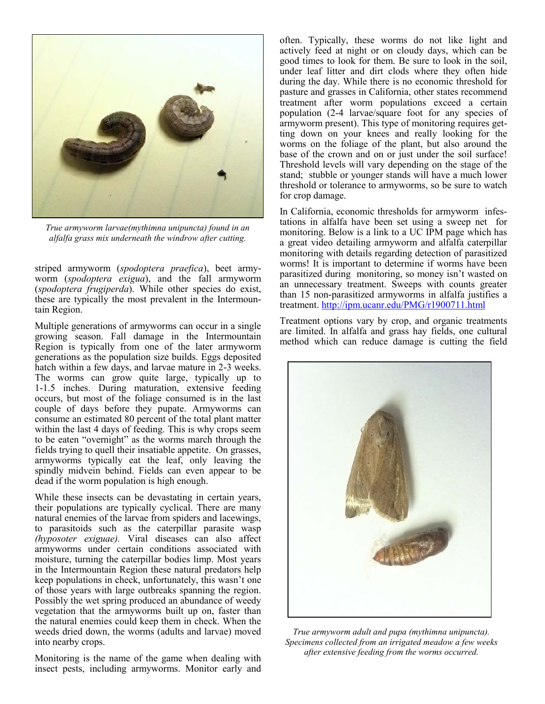

*True armyworm larvae(mythimna unipuncta) found in an alfalfa grass mix underneath the windrow after cutting.*

striped armyworm (*spodoptera praefica*), beet armyworm (*spodoptera exigua*), and the fall armyworm (*spodoptera frugiperda*). While other species do exist, these are typically the most prevalent in the Intermountain Region.

Multiple generations of armyworms can occur in a single growing season. Fall damage in the Intermountain Region is typically from one of the later armyworm generations as the population size builds. Eggs deposited hatch within a few days, and larvae mature in 2-3 weeks. The worms can grow quite large, typically up to 1-1.5 inches. During maturation, extensive feeding occurs, but most of the foliage consumed is in the last couple of days before they pupate. Armyworms can consume an estimated 80 percent of the total plant matter within the last 4 days of feeding. This is why crops seem to be eaten "overnight" as the worms march through the fields trying to quell their insatiable appetite. On grasses, armyworms typically eat the leaf, only leaving the spindly midvein behind. Fields can even appear to be dead if the worm population is high enough.

While these insects can be devastating in certain years, their populations are typically cyclical. There are many natural enemies of the larvae from spiders and lacewings, to parasitoids such as the caterpillar parasite wasp *([hyposoter exiguae\)](http://ipm.ucanr.edu/PMG/NE/hyposoter_exigua.html).* Viral diseases can also affect armyworms under certain conditions associated with moisture, turning the caterpillar bodies limp. Most years in the Intermountain Region these natural predators help keep populations in check, unfortunately, this wasn't one of those years with large outbreaks spanning the region. Possibly the wet spring produced an abundance of weedy vegetation that the armyworms built up on, faster than the natural enemies could keep them in check. When the weeds dried down, the worms (adults and larvae) moved into nearby crops.

Monitoring is the name of the game when dealing with insect pests, including armyworms. Monitor early and often. Typically, these worms do not like light and actively feed at night or on cloudy days, which can be good times to look for them. Be sure to look in the soil, under leaf litter and dirt clods where they often hide during the day. While there is no economic threshold for pasture and grasses in California, other states recommend treatment after worm populations exceed a certain population (2-4 larvae/square foot for any species of armyworm present). This type of monitoring requires getting down on your knees and really looking for the worms on the foliage of the plant, but also around the base of the crown and on or just under the soil surface! Threshold levels will vary depending on the stage of the stand; stubble or younger stands will have a much lower threshold or tolerance to armyworms, so be sure to watch for crop damage.

In California, economic thresholds for armyworm infestations in alfalfa have been set using a sweep net for monitoring. Below is a link to a UC IPM page which has a great video detailing armyworm and alfalfa caterpillar monitoring with details regarding detection of parasitized worms! It is important to determine if worms have been parasitized during monitoring, so money isn't wasted on an unnecessary treatment. Sweeps with counts greater than 15 non-parasitized armyworms in alfalfa justifies a treatment. <http://ipm.ucanr.edu/PMG/r1900711.html>

Treatment options vary by crop, and organic treatments are limited. In alfalfa and grass hay fields, one cultural method which can reduce damage is cutting the field



*True armyworm adult and pupa (mythimna unipuncta). Specimens collected from an irrigated meadow a few weeks after extensive feeding from the worms occurred.*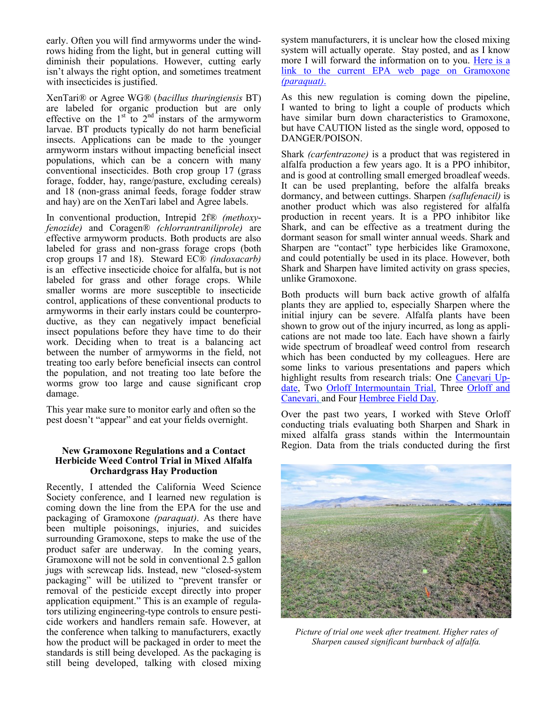early. Often you will find armyworms under the windrows hiding from the light, but in general cutting will diminish their populations. However, cutting early isn't always the right option, and sometimes treatment with insecticides is justified.

XenTari® or Agree WG® (*bacillus thuringiensis* BT) are labeled for organic production but are only effective on the  $1<sup>st</sup>$  to  $2<sup>nd</sup>$  instars of the armyworm larvae. BT products typically do not harm beneficial insects. Applications can be made to the younger armyworm instars without impacting beneficial insect populations, which can be a concern with many conventional insecticides. Both crop group 17 (grass forage, fodder, hay, range/pasture, excluding cereals) and 18 (non-grass animal feeds, forage fodder straw and hay) are on the XenTari label and Agree labels.

In conventional production, Intrepid 2f® *(methoxyfenozide)* and Coragen® *(chlorrantraniliprole)* are effective armyworm products. Both products are also labeled for grass and non-grass forage crops (both crop groups 17 and 18). Steward EC® *(indoxacarb)*  is an effective insecticide choice for alfalfa, but is not labeled for grass and other forage crops. While smaller worms are more susceptible to insecticide control, applications of these conventional products to armyworms in their early instars could be counterproductive, as they can negatively impact beneficial insect populations before they have time to do their work. Deciding when to treat is a balancing act between the number of armyworms in the field, not treating too early before beneficial insects can control the population, and not treating too late before the worms grow too large and cause significant crop damage.

This year make sure to monitor early and often so the pest doesn't "appear" and eat your fields overnight.

### **New Gramoxone Regulations and a Contact Herbicide Weed Control Trial in Mixed Alfalfa Orchardgrass Hay Production**

Recently, I attended the California Weed Science Society conference, and I learned new regulation is coming down the line from the EPA for the use and packaging of Gramoxone *(paraquat)*. As there have been multiple poisonings, injuries, and suicides surrounding Gramoxone, steps to make the use of the product safer are underway. In the coming years, Gramoxone will not be sold in conventional 2.5 gallon jugs with screwcap lids. Instead, new "closed-system packaging" will be utilized to "prevent transfer or removal of the pesticide except directly into proper application equipment." This is an example of regulators utilizing engineering-type controls to ensure pesticide workers and handlers remain safe. However, at the conference when talking to manufacturers, exactly how the product will be packaged in order to meet the standards is still being developed. As the packaging is still being developed, talking with closed mixing system manufacturers, it is unclear how the closed mixing system will actually operate. Stay posted, and as I know more I will forward the information on to you. [Here is a](https://www.epa.gov/ingredients-used-pesticide-products/paraquat-dichloride#action)  [link to the current EPA web page on Gramoxone](https://www.epa.gov/ingredients-used-pesticide-products/paraquat-dichloride#action)  *[\(paraquat\)](https://www.epa.gov/ingredients-used-pesticide-products/paraquat-dichloride#action)*.

As this new regulation is coming down the pipeline, I wanted to bring to light a couple of products which have similar burn down characteristics to Gramoxone, but have CAUTION listed as the single word, opposed to DANGER/POISON.

Shark *(carfentrazone)* is a product that was registered in alfalfa production a few years ago. It is a PPO inhibitor, and is good at controlling small emerged broadleaf weeds. It can be used preplanting, before the alfalfa breaks dormancy, and between cuttings. Sharpen *(saflufenacil)* is another product which was also registered for alfalfa production in recent years. It is a PPO inhibitor like Shark, and can be effective as a treatment during the dormant season for small winter annual weeds. Shark and Sharpen are "contact" type herbicides like Gramoxone, and could potentially be used in its place. However, both Shark and Sharpen have limited activity on grass species, unlike Gramoxone.

Both products will burn back active growth of alfalfa plants they are applied to, especially Sharpen where the initial injury can be severe. Alfalfa plants have been shown to grow out of the injury incurred, as long as applications are not made too late. Each have shown a fairly wide spectrum of broadleaf weed control from research which has been conducted by my colleagues. Here are some links to various presentations and papers which highlight results from research trials: One [Canevari Up](http://ucanr.edu/sites/deltacrops/files/254435.pdf)[date,](http://ucanr.edu/sites/deltacrops/files/254435.pdf) Two [Orloff Intermountain Trial,](http://alfalfa.ucdavis.edu/+symposium/proceedings/2015/Orloff.pdf) Three Orloff and [Canevari,](http://ucanr.edu/repository/fileaccess.cfm?article=164509&p=KHUNVX) and Four [Hembree Field Day.](http://alfalfa.ucdavis.edu/FieldDay/2016/presentations/New%20Alfalfa%20Herbicide%20Registrations%20-%20Hembree.pdf)

Over the past two years, I worked with Steve Orloff conducting trials evaluating both Sharpen and Shark in mixed alfalfa grass stands within the Intermountain Region. Data from the trials conducted during the first



*Picture of trial one week after treatment. Higher rates of Sharpen caused significant burnback of alfalfa.*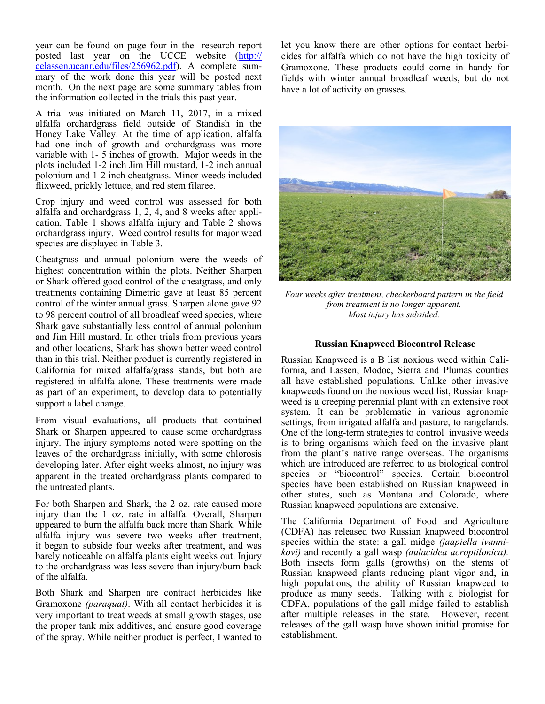year can be found on page four in the research report posted last year on the UCCE website [\(http://](http://celassen.ucanr.edu/files/256962.pdf) [celassen.ucanr.edu/files/256962.pdf\).](http://celassen.ucanr.edu/files/256962.pdf) A complete summary of the work done this year will be posted next month. On the next page are some summary tables from the information collected in the trials this past year.

A trial was initiated on March 11, 2017, in a mixed alfalfa orchardgrass field outside of Standish in the Honey Lake Valley. At the time of application, alfalfa had one inch of growth and orchardgrass was more variable with 1- 5 inches of growth. Major weeds in the plots included 1-2 inch Jim Hill mustard, 1-2 inch annual polonium and 1-2 inch cheatgrass. Minor weeds included flixweed, prickly lettuce, and red stem filaree.

Crop injury and weed control was assessed for both alfalfa and orchardgrass 1, 2, 4, and 8 weeks after application. Table 1 shows alfalfa injury and Table 2 shows orchardgrass injury. Weed control results for major weed species are displayed in Table 3.

Cheatgrass and annual polonium were the weeds of highest concentration within the plots. Neither Sharpen or Shark offered good control of the cheatgrass, and only treatments containing Dimetric gave at least 85 percent control of the winter annual grass. Sharpen alone gave 92 to 98 percent control of all broadleaf weed species, where Shark gave substantially less control of annual polonium and Jim Hill mustard. In other trials from previous years and other locations, Shark has shown better weed control than in this trial. Neither product is currently registered in California for mixed alfalfa/grass stands, but both are registered in alfalfa alone. These treatments were made as part of an experiment, to develop data to potentially support a label change.

From visual evaluations, all products that contained Shark or Sharpen appeared to cause some orchardgrass injury. The injury symptoms noted were spotting on the leaves of the orchardgrass initially, with some chlorosis developing later. After eight weeks almost, no injury was apparent in the treated orchardgrass plants compared to the untreated plants.

For both Sharpen and Shark, the 2 oz. rate caused more injury than the 1 oz. rate in alfalfa. Overall, Sharpen appeared to burn the alfalfa back more than Shark. While alfalfa injury was severe two weeks after treatment, it began to subside four weeks after treatment, and was barely noticeable on alfalfa plants eight weeks out. Injury to the orchardgrass was less severe than injury/burn back of the alfalfa.

Both Shark and Sharpen are contract herbicides like Gramoxone *(paraquat)*. With all contact herbicides it is very important to treat weeds at small growth stages, use the proper tank mix additives, and ensure good coverage of the spray. While neither product is perfect, I wanted to let you know there are other options for contact herbicides for alfalfa which do not have the high toxicity of Gramoxone. These products could come in handy for fields with winter annual broadleaf weeds, but do not have a lot of activity on grasses.



*Four weeks after treatment, checkerboard pattern in the field from treatment is no longer apparent. Most injury has subsided.*

### **Russian Knapweed Biocontrol Release**

Russian Knapweed is a B list noxious weed within California, and Lassen, Modoc, Sierra and Plumas counties all have established populations. Unlike other invasive knapweeds found on the noxious weed list, Russian knapweed is a creeping perennial plant with an extensive root system. It can be problematic in various agronomic settings, from irrigated alfalfa and pasture, to rangelands. One of the long-term strategies to control invasive weeds is to bring organisms which feed on the invasive plant from the plant's native range overseas. The organisms which are introduced are referred to as biological control species or "biocontrol" species. Certain biocontrol species have been established on Russian knapweed in other states, such as Montana and Colorado, where Russian knapweed populations are extensive.

The California Department of Food and Agriculture (CDFA) has released two Russian knapweed biocontrol species within the state: a gall midge *(jaapiella ivannikovi)* and recently a gall wasp *(aulacidea acroptilonica).*  Both insects form galls (growths) on the stems of Russian knapweed plants reducing plant vigor and, in high populations, the ability of Russian knapweed to produce as many seeds. Talking with a biologist for CDFA, populations of the gall midge failed to establish after multiple releases in the state. However, recent releases of the gall wasp have shown initial promise for establishment.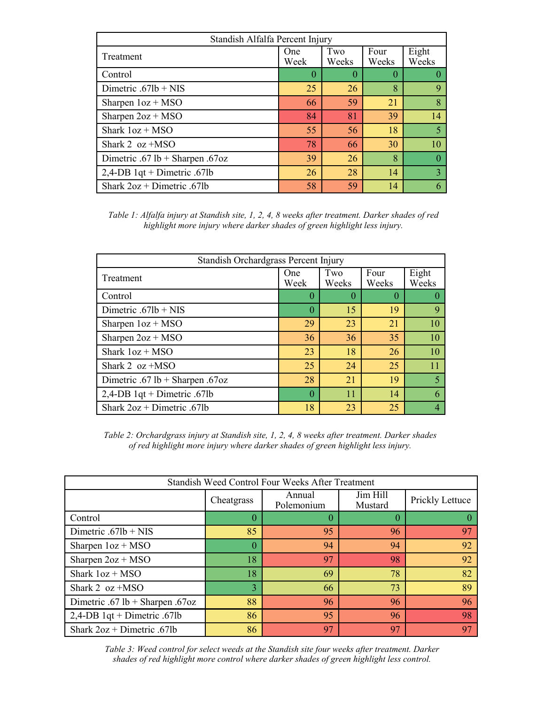| Standish Alfalfa Percent Injury |             |              |               |                |  |  |  |
|---------------------------------|-------------|--------------|---------------|----------------|--|--|--|
| Treatment                       | One<br>Week | Two<br>Weeks | Four<br>Weeks | Eight<br>Weeks |  |  |  |
| Control                         | 0           |              | $\Omega$      |                |  |  |  |
| Dimetric $.671b + NIS$          | 25          | 26           | 8             | 9              |  |  |  |
| Sharpen $1oz + MSO$             | 66          | 59           | 21            | 8              |  |  |  |
| Sharpen $2oz + MSO$             | 84          | 81           | 39            | 14             |  |  |  |
| Shark $1oz + MSO$               | 55          | 56           | 18            | 5              |  |  |  |
| Shark 2 $oz + MSO$              | 78          | 66           | 30            | 10             |  |  |  |
| Dimetric .67 lb + Sharpen .67oz | 39          | 26           | 8             |                |  |  |  |
| 2,4-DB $1qt +$ Dimetric .67lb   | 26          | 28           | 14            | 3              |  |  |  |
| Shark $2oz + Dimetric .67lb$    | 58          | 59           | 14            |                |  |  |  |

*Table 1: Alfalfa injury at Standish site, 1, 2, 4, 8 weeks after treatment. Darker shades of red highlight more injury where darker shades of green highlight less injury.*

| Standish Orchardgrass Percent Injury |             |              |                  |                |  |  |  |
|--------------------------------------|-------------|--------------|------------------|----------------|--|--|--|
| Treatment                            | One<br>Week | Two<br>Weeks | Four<br>Weeks    | Eight<br>Weeks |  |  |  |
| Control                              | 0           | $\theta$     | $\left( \right)$ |                |  |  |  |
| Dimetric $.67$ lb + NIS              | 0           | 15           | 19               | 9              |  |  |  |
| Sharpen $1oz + MSO$                  | 29          | 23           | 21               | 10             |  |  |  |
| Sharpen $2oz + MSO$                  | 36          | 36           | 35               | 10             |  |  |  |
| Shark $1oz + MSO$                    | 23          | 18           | 26               | 10             |  |  |  |
| Shark 2 $oz + MSO$                   | 25          | 24           | 25               |                |  |  |  |
| Dimetric .67 lb + Sharpen .67oz      | 28          | 21           | 19               | $\overline{5}$ |  |  |  |
| 2,4-DB $1qt +$ Dimetric .67lb        | $\theta$    | 11           | 14               | 6              |  |  |  |
| Shark $2oz + Dimetric .67lb$         | 18          | 23           | 25               |                |  |  |  |

*Table 2: Orchardgrass injury at Standish site, 1, 2, 4, 8 weeks after treatment. Darker shades of red highlight more injury where darker shades of green highlight less injury.*

| Standish Weed Control Four Weeks After Treatment |            |                      |                     |                 |  |  |  |
|--------------------------------------------------|------------|----------------------|---------------------|-----------------|--|--|--|
|                                                  | Cheatgrass | Annual<br>Polemonium | Jim Hill<br>Mustard | Prickly Lettuce |  |  |  |
| Control                                          | $\theta$   | $\theta$             | $\theta$            |                 |  |  |  |
| Dimetric $.67$ lb + NIS                          | 85         | 95                   | 96                  | 97              |  |  |  |
| Sharpen $1oz + MSO$                              | 0          | 94                   | 94                  | 92              |  |  |  |
| Sharpen $2oz + MSO$                              | 18         | 97                   | 98                  | 92              |  |  |  |
| Shark $1oz + MSO$                                | 18         | 69                   | 78                  | 82              |  |  |  |
| Shark 2 $oz + MSO$                               | 3          | 66                   | 73                  | 89              |  |  |  |
| Dimetric .67 lb + Sharpen .67oz                  | 88         | 96                   | 96                  | 96              |  |  |  |
| 2,4-DB $1qt +$ Dimetric .67lb                    | 86         | 95                   | 96                  | 98              |  |  |  |
| Shark $2oz + Dimetric .67lb$                     | 86         | 97                   | 97                  | 97              |  |  |  |

*Table 3: Weed control for select weeds at the Standish site four weeks after treatment. Darker shades of red highlight more control where darker shades of green highlight less control.*